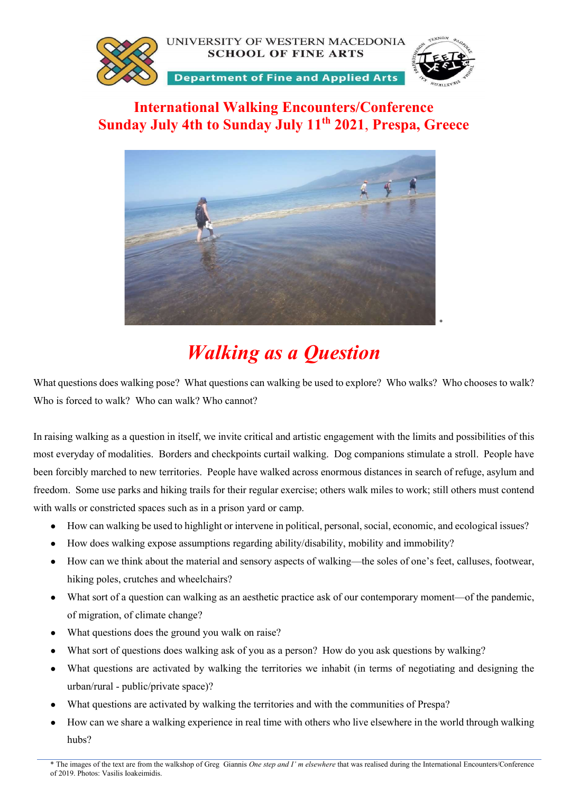

# International Walking Encounters/Conference Sunday July 4th to Sunday July 11<sup>th</sup> 2021, Prespa, Greece



# Walking as a Question

What questions does walking pose? What questions can walking be used to explore? Who walks? Who chooses to walk? Who is forced to walk? Who can walk? Who cannot?

In raising walking as a question in itself, we invite critical and artistic engagement with the limits and possibilities of this most everyday of modalities. Borders and checkpoints curtail walking. Dog companions stimulate a stroll. People have been forcibly marched to new territories. People have walked across enormous distances in search of refuge, asylum and freedom. Some use parks and hiking trails for their regular exercise; others walk miles to work; still others must contend with walls or constricted spaces such as in a prison yard or camp.

- How can walking be used to highlight or intervene in political, personal, social, economic, and ecological issues?
- How does walking expose assumptions regarding ability/disability, mobility and immobility?
- How can we think about the material and sensory aspects of walking—the soles of one's feet, calluses, footwear, hiking poles, crutches and wheelchairs?
- What sort of a question can walking as an aesthetic practice ask of our contemporary moment—of the pandemic, of migration, of climate change?
- What questions does the ground you walk on raise?
- What sort of questions does walking ask of you as a person? How do you ask questions by walking?
- What questions are activated by walking the territories we inhabit (in terms of negotiating and designing the urban/rural - public/private space)?
- What questions are activated by walking the territories and with the communities of Prespa?
- How can we share a walking experience in real time with others who live elsewhere in the world through walking hubs?

<sup>\*</sup> The images of the text are from the walkshop of Greg Giannis One step and I' m elsewhere that was realised during the International Encounters/Conference of 2019. Photos: Vasilis Ioakeimidis.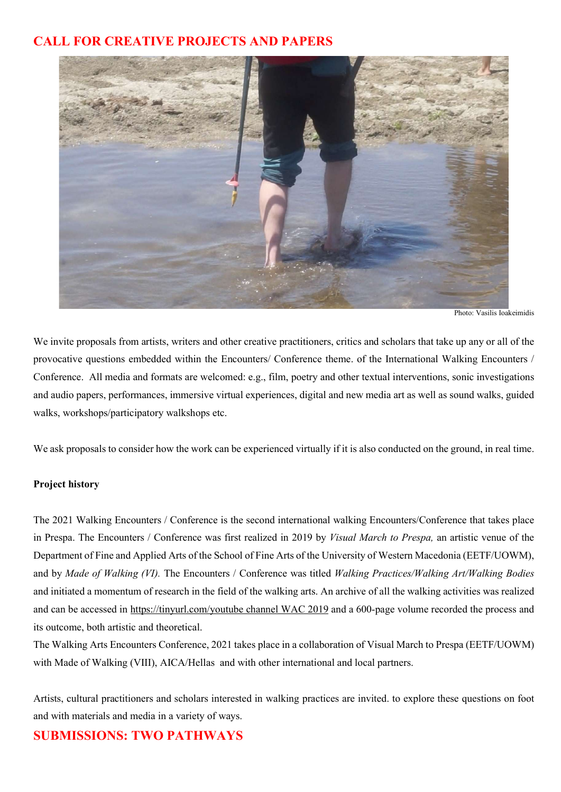# CALL FOR CREATIVE PROJECTS AND PAPERS



Photo: Vasilis Ioakeimidis

We invite proposals from artists, writers and other creative practitioners, critics and scholars that take up any or all of the provocative questions embedded within the Encounters/ Conference theme. of the International Walking Encounters / Conference. All media and formats are welcomed: e.g., film, poetry and other textual interventions, sonic investigations and audio papers, performances, immersive virtual experiences, digital and new media art as well as sound walks, guided walks, workshops/participatory walkshops etc.

We ask proposals to consider how the work can be experienced virtually if it is also conducted on the ground, in real time.

#### Project history

The 2021 Walking Encounters / Conference is the second international walking Encounters/Conference that takes place in Prespa. The Encounters / Conference was first realized in 2019 by Visual March to Prespa, an artistic venue of the Department of Fine and Applied Arts of the School of Fine Arts of the University of Western Macedonia (EETF/UOWM), and by Made of Walking (VI). The Encounters / Conference was titled Walking Practices/Walking Art/Walking Bodies and initiated a momentum of research in the field of the walking arts. An archive of all the walking activities was realized and can be accessed in https://tinyurl.com/youtube channel WAC 2019 and a 600-page volume recorded the process and its outcome, both artistic and theoretical.

The Walking Arts Encounters Conference, 2021 takes place in a collaboration of Visual March to Prespa (EETF/UOWM) with Made of Walking (VIII), AICA/Hellas and with other international and local partners.

Artists, cultural practitioners and scholars interested in walking practices are invited. to explore these questions on foot and with materials and media in a variety of ways.

# SUBMISSIONS: TWO PATHWAYS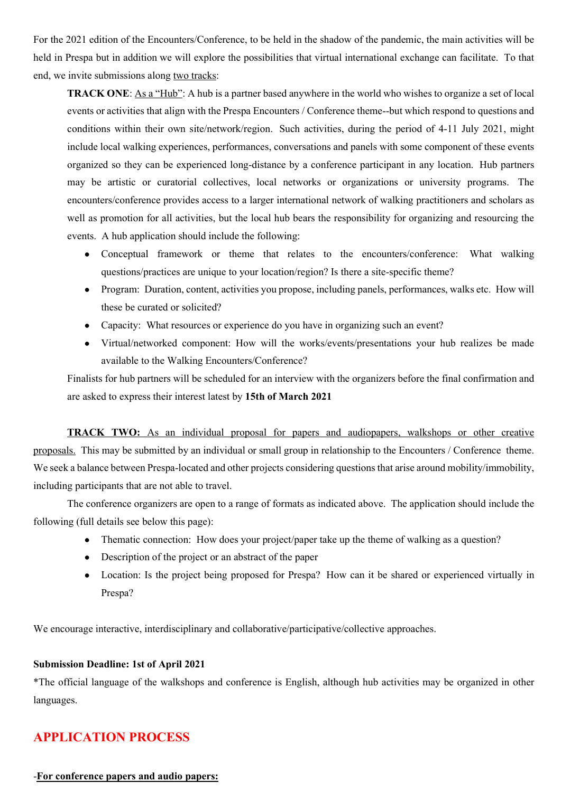For the 2021 edition of the Encounters/Conference, to be held in the shadow of the pandemic, the main activities will be held in Prespa but in addition we will explore the possibilities that virtual international exchange can facilitate. To that end, we invite submissions along two tracks:

TRACK ONE: As a "Hub": A hub is a partner based anywhere in the world who wishes to organize a set of local events or activities that align with the Prespa Encounters / Conference theme--but which respond to questions and conditions within their own site/network/region. Such activities, during the period of 4-11 July 2021, might include local walking experiences, performances, conversations and panels with some component of these events organized so they can be experienced long-distance by a conference participant in any location. Hub partners may be artistic or curatorial collectives, local networks or organizations or university programs. The encounters/conference provides access to a larger international network of walking practitioners and scholars as well as promotion for all activities, but the local hub bears the responsibility for organizing and resourcing the events. A hub application should include the following:

- Conceptual framework or theme that relates to the encounters/conference: What walking questions/practices are unique to your location/region? Is there a site-specific theme?
- Program: Duration, content, activities you propose, including panels, performances, walks etc. How will these be curated or solicited?
- Capacity: What resources or experience do you have in organizing such an event?
- Virtual/networked component: How will the works/events/presentations your hub realizes be made available to the Walking Encounters/Conference?

Finalists for hub partners will be scheduled for an interview with the organizers before the final confirmation and are asked to express their interest latest by 15th of March 2021

TRACK TWO: As an individual proposal for papers and audiopapers, walkshops or other creative proposals. This may be submitted by an individual or small group in relationship to the Encounters / Conference theme. We seek a balance between Prespa-located and other projects considering questions that arise around mobility/immobility, including participants that are not able to travel.

The conference organizers are open to a range of formats as indicated above. The application should include the following (full details see below this page):

- Thematic connection: How does your project/paper take up the theme of walking as a question?
- Description of the project or an abstract of the paper
- Location: Is the project being proposed for Prespa? How can it be shared or experienced virtually in Prespa?

We encourage interactive, interdisciplinary and collaborative/participative/collective approaches.

## Submission Deadline: 1st of April 2021

\*The official language of the walkshops and conference is English, although hub activities may be organized in other languages.

# APPLICATION PROCESS

## -For conference papers and audio papers: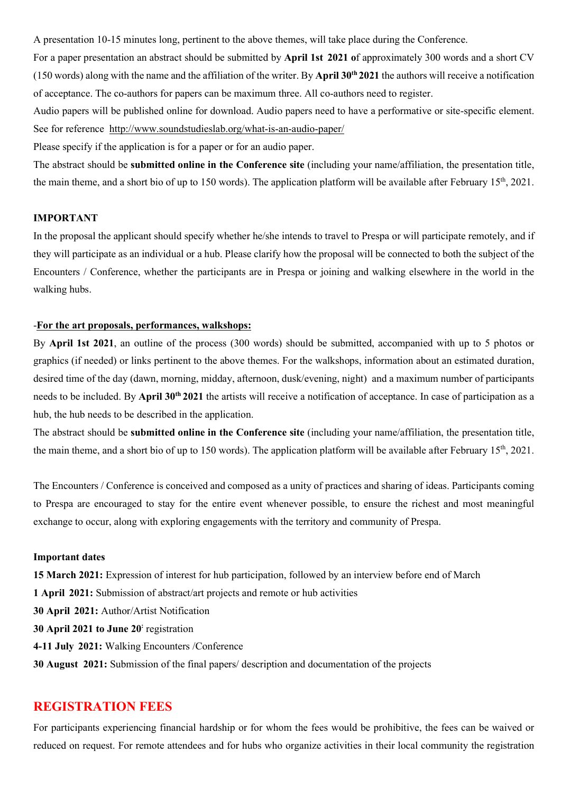A presentation 10-15 minutes long, pertinent to the above themes, will take place during the Conference.

For a paper presentation an abstract should be submitted by April 1st 2021 of approximately 300 words and a short CV (150 words) along with the name and the affiliation of the writer. By April  $30<sup>th</sup> 2021$  the authors will receive a notification of acceptance. The co-authors for papers can be maximum three. All co-authors need to register.

Audio papers will be published online for download. Audio papers need to have a performative or site-specific element. See for reference http://www.soundstudieslab.org/what-is-an-audio-paper/

Please specify if the application is for a paper or for an audio paper.

The abstract should be **submitted online in the Conference site** (including your name/affiliation, the presentation title, the main theme, and a short bio of up to 150 words). The application platform will be available after February  $15<sup>th</sup>$ , 2021.

#### IMPORTANT

In the proposal the applicant should specify whether he/she intends to travel to Prespa or will participate remotely, and if they will participate as an individual or a hub. Please clarify how the proposal will be connected to both the subject of the Encounters / Conference, whether the participants are in Prespa or joining and walking elsewhere in the world in the walking hubs.

## -For the art proposals, performances, walkshops:

By April 1st 2021, an outline of the process (300 words) should be submitted, accompanied with up to 5 photos or graphics (if needed) or links pertinent to the above themes. For the walkshops, information about an estimated duration, desired time of the day (dawn, morning, midday, afternoon, dusk/evening, night) and a maximum number of participants needs to be included. By April 30<sup>th</sup> 2021 the artists will receive a notification of acceptance. In case of participation as a hub, the hub needs to be described in the application.

The abstract should be **submitted online in the Conference site** (including your name/affiliation, the presentation title, the main theme, and a short bio of up to 150 words). The application platform will be available after February  $15<sup>th</sup>$ , 2021.

The Encounters / Conference is conceived and composed as a unity of practices and sharing of ideas. Participants coming to Prespa are encouraged to stay for the entire event whenever possible, to ensure the richest and most meaningful exchange to occur, along with exploring engagements with the territory and community of Prespa.

#### Important dates

15 March 2021: Expression of interest for hub participation, followed by an interview before end of March 1 April 2021: Submission of abstract/art projects and remote or hub activities 30 April 2021: Author/Artist Notification 30 April 2021 to June 20 registration 4-11 July 2021: Walking Encounters /Conference 30 August 2021: Submission of the final papers/ description and documentation of the projects

# REGISTRATION FEES

For participants experiencing financial hardship or for whom the fees would be prohibitive, the fees can be waived or reduced on request. For remote attendees and for hubs who organize activities in their local community the registration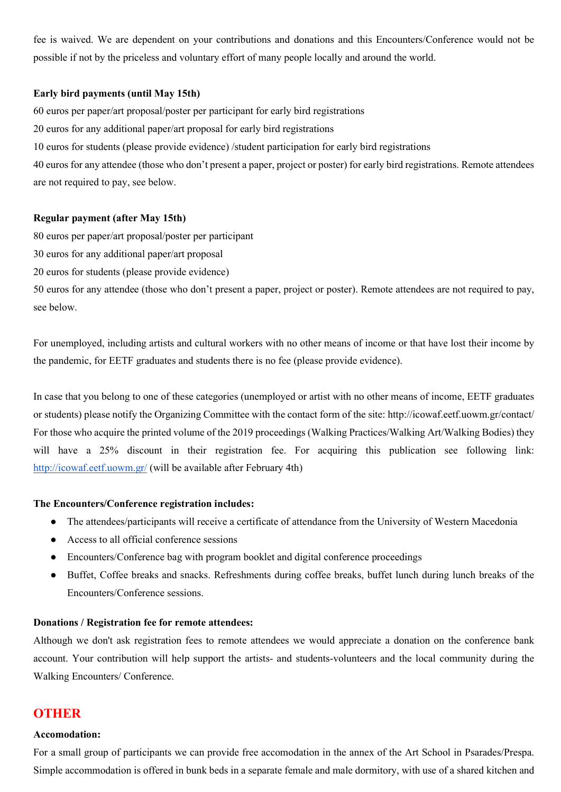fee is waived. We are dependent on your contributions and donations and this Encounters/Conference would not be possible if not by the priceless and voluntary effort of many people locally and around the world.

#### Early bird payments (until May 15th)

60 euros per paper/art proposal/poster per participant for early bird registrations

20 euros for any additional paper/art proposal for early bird registrations

10 euros for students (please provide evidence) /student participation for early bird registrations

40 euros for any attendee (those who don't present a paper, project or poster) for early bird registrations. Remote attendees are not required to pay, see below.

#### Regular payment (after May 15th)

80 euros per paper/art proposal/poster per participant

30 euros for any additional paper/art proposal

20 euros for students (please provide evidence)

50 euros for any attendee (those who don't present a paper, project or poster). Remote attendees are not required to pay, see below.

For unemployed, including artists and cultural workers with no other means of income or that have lost their income by the pandemic, for EETF graduates and students there is no fee (please provide evidence).

In case that you belong to one of these categories (unemployed or artist with no other means of income, EETF graduates or students) please notify the Organizing Committee with the contact form of the site: http://icowaf.eetf.uowm.gr/contact/ For those who acquire the printed volume of the 2019 proceedings (Walking Practices/Walking Art/Walking Bodies) they will have a 25% discount in their registration fee. For acquiring this publication see following link: http://icowaf.eetf.uowm.gr/ (will be available after February 4th)

## The Encounters/Conference registration includes:

- The attendees/participants will receive a certificate of attendance from the University of Western Macedonia
- Access to all official conference sessions
- Encounters/Conference bag with program booklet and digital conference proceedings
- Buffet, Coffee breaks and snacks. Refreshments during coffee breaks, buffet lunch during lunch breaks of the Encounters/Conference sessions.

#### Donations / Registration fee for remote attendees:

Although we don't ask registration fees to remote attendees we would appreciate a donation on the conference bank account. Your contribution will help support the artists- and students-volunteers and the local community during the Walking Encounters/ Conference.

# **OTHER**

#### Accomodation:

For a small group of participants we can provide free accomodation in the annex of the Art School in Psarades/Prespa. Simple accommodation is offered in bunk beds in a separate female and male dormitory, with use of a shared kitchen and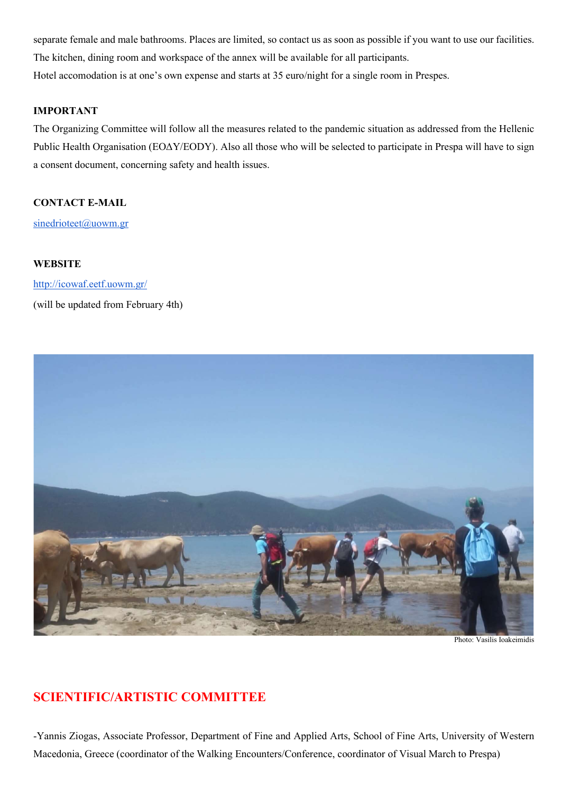separate female and male bathrooms. Places are limited, so contact us as soon as possible if you want to use our facilities. The kitchen, dining room and workspace of the annex will be available for all participants. Hotel accomodation is at one's own expense and starts at 35 euro/night for a single room in Prespes.

#### IMPORTANT

The Organizing Committee will follow all the measures related to the pandemic situation as addressed from the Hellenic Public Health Organisation (ΕΟΔΥ/ΕΟDY). Also all those who will be selected to participate in Prespa will have to sign a consent document, concerning safety and health issues.

## CONTACT E-MAIL

sinedrioteet@uowm.gr

#### **WEBSITE**

http://icowaf.eetf.uowm.gr/ (will be updated from February 4th)



Photo: Vasilis Ioakeimidis

# SCIENTIFIC/ARTISTIC COMMITTEE

-Yannis Ziogas, Associate Professor, Department of Fine and Applied Arts, School of Fine Arts, University of Western Macedonia, Greece (coordinator of the Walking Encounters/Conference, coordinator of Visual March to Prespa)